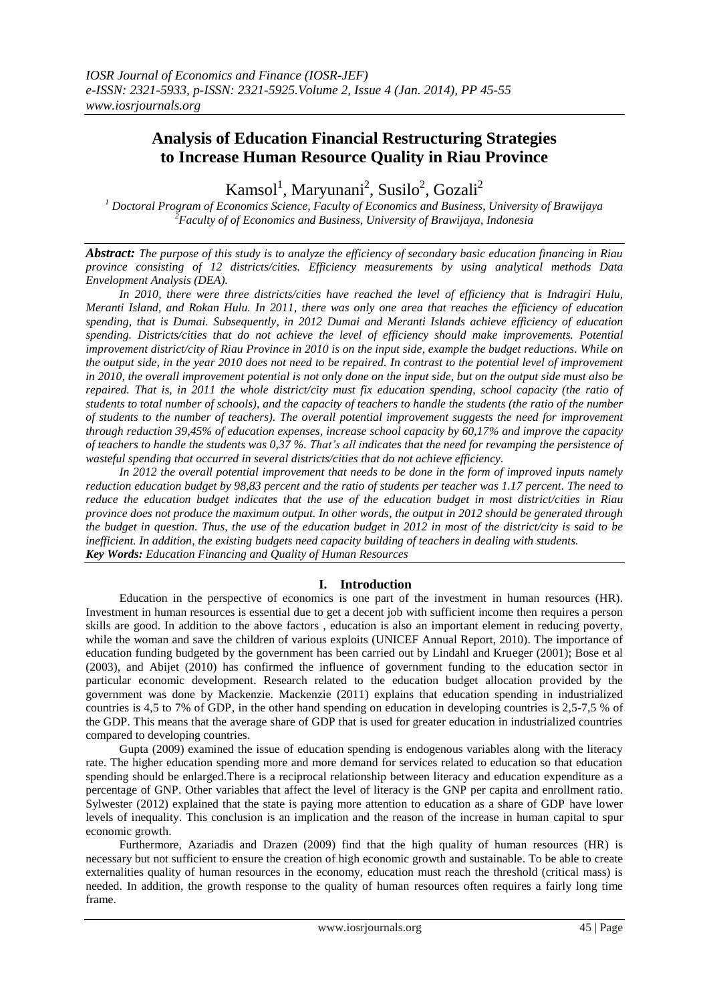# **Analysis of Education Financial Restructuring Strategies to Increase Human Resource Quality in Riau Province**

Kamsol<sup>1</sup>, Maryunani<sup>2</sup>, Susilo<sup>2</sup>, Gozali<sup>2</sup>

*<sup>1</sup> Doctoral Program of Economics Science, Faculty of Economics and Business, University of Brawijaya <sup>2</sup>Faculty of of Economics and Business, University of Brawijaya, Indonesia*

*Abstract: The purpose of this study is to analyze the efficiency of secondary basic education financing in Riau province consisting of 12 districts/cities. Efficiency measurements by using analytical methods Data Envelopment Analysis (DEA).*

*In 2010, there were three districts/cities have reached the level of efficiency that is Indragiri Hulu, Meranti Island, and Rokan Hulu. In 2011, there was only one area that reaches the efficiency of education spending, that is Dumai. Subsequently, in 2012 Dumai and Meranti Islands achieve efficiency of education spending. Districts/cities that do not achieve the level of efficiency should make improvements. Potential improvement district/city of Riau Province in 2010 is on the input side, example the budget reductions. While on the output side, in the year 2010 does not need to be repaired. In contrast to the potential level of improvement in 2010, the overall improvement potential is not only done on the input side, but on the output side must also be repaired. That is, in 2011 the whole district/city must fix education spending, school capacity (the ratio of students to total number of schools), and the capacity of teachers to handle the students (the ratio of the number of students to the number of teachers). The overall potential improvement suggests the need for improvement through reduction 39,45% of education expenses, increase school capacity by 60,17% and improve the capacity of teachers to handle the students was 0,37 %. That's all indicates that the need for revamping the persistence of wasteful spending that occurred in several districts/cities that do not achieve efficiency.*

*In 2012 the overall potential improvement that needs to be done in the form of improved inputs namely reduction education budget by 98,83 percent and the ratio of students per teacher was 1.17 percent. The need to reduce the education budget indicates that the use of the education budget in most district/cities in Riau province does not produce the maximum output. In other words, the output in 2012 should be generated through the budget in question. Thus, the use of the education budget in 2012 in most of the district/city is said to be inefficient. In addition, the existing budgets need capacity building of teachers in dealing with students. Key Words: Education Financing and Quality of Human Resources*

### **I. Introduction**

Education in the perspective of economics is one part of the investment in human resources (HR). Investment in human resources is essential due to get a decent job with sufficient income then requires a person skills are good. In addition to the above factors , education is also an important element in reducing poverty, while the woman and save the children of various exploits (UNICEF Annual Report, 2010). The importance of education funding budgeted by the government has been carried out by Lindahl and Krueger (2001); Bose et al (2003), and Abijet (2010) has confirmed the influence of government funding to the education sector in particular economic development. Research related to the education budget allocation provided by the government was done by Mackenzie. Mackenzie (2011) explains that education spending in industrialized countries is 4,5 to 7% of GDP, in the other hand spending on education in developing countries is 2,5-7,5 % of the GDP. This means that the average share of GDP that is used for greater education in industrialized countries compared to developing countries.

Gupta (2009) examined the issue of education spending is endogenous variables along with the literacy rate. The higher education spending more and more demand for services related to education so that education spending should be enlarged.There is a reciprocal relationship between literacy and education expenditure as a percentage of GNP. Other variables that affect the level of literacy is the GNP per capita and enrollment ratio. Sylwester (2012) explained that the state is paying more attention to education as a share of GDP have lower levels of inequality. This conclusion is an implication and the reason of the increase in human capital to spur economic growth.

Furthermore, Azariadis and Drazen (2009) find that the high quality of human resources (HR) is necessary but not sufficient to ensure the creation of high economic growth and sustainable. To be able to create externalities quality of human resources in the economy, education must reach the threshold (critical mass) is needed. In addition, the growth response to the quality of human resources often requires a fairly long time frame.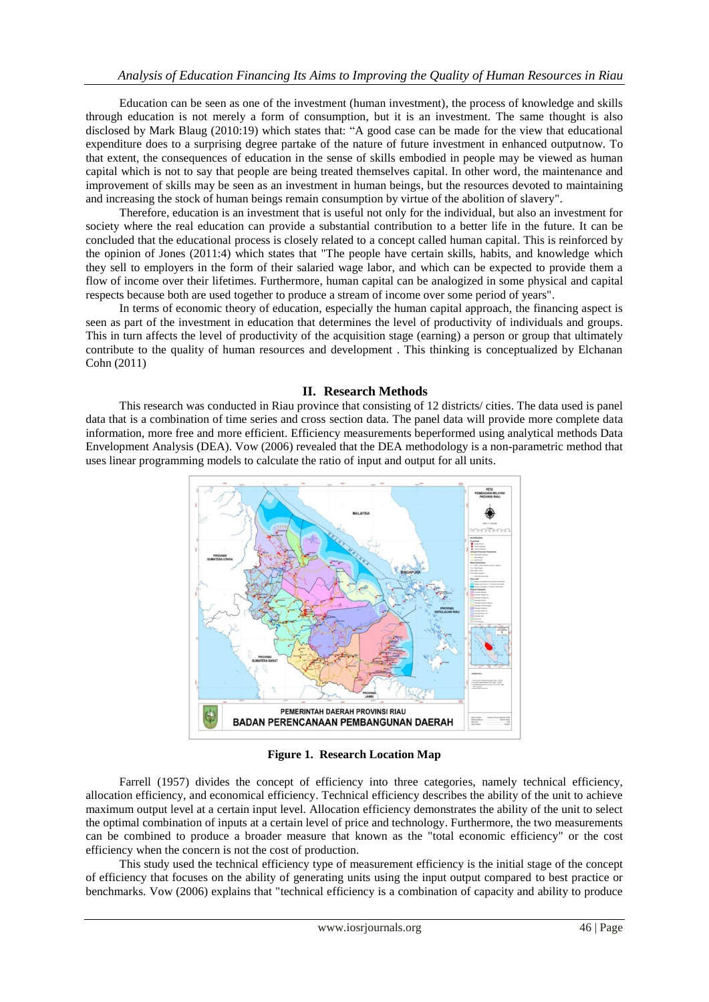Education can be seen as one of the investment (human investment), the process of knowledge and skills through education is not merely a form of consumption, but it is an investment. The same thought is also disclosed by Mark Blaug (2010:19) which states that: "A good case can be made for the view that educational expenditure does to a surprising degree partake of the nature of future investment in enhanced outputnow. To that extent, the consequences of education in the sense of skills embodied in people may be viewed as human capital which is not to say that people are being treated themselves capital. In other word, the maintenance and improvement of skills may be seen as an investment in human beings, but the resources devoted to maintaining and increasing the stock of human beings remain consumption by virtue of the abolition of slavery".

Therefore, education is an investment that is useful not only for the individual, but also an investment for society where the real education can provide a substantial contribution to a better life in the future. It can be concluded that the educational process is closely related to a concept called human capital. This is reinforced by the opinion of Jones (2011:4) which states that "The people have certain skills, habits, and knowledge which they sell to employers in the form of their salaried wage labor, and which can be expected to provide them a flow of income over their lifetimes. Furthermore, human capital can be analogized in some physical and capital respects because both are used together to produce a stream of income over some period of years".

In terms of economic theory of education, especially the human capital approach, the financing aspect is seen as part of the investment in education that determines the level of productivity of individuals and groups. This in turn affects the level of productivity of the acquisition stage (earning) a person or group that ultimately contribute to the quality of human resources and development . This thinking is conceptualized by Elchanan Cohn (2011)

#### **II. Research Methods**

This research was conducted in Riau province that consisting of 12 districts/ cities. The data used is panel data that is a combination of time series and cross section data. The panel data will provide more complete data information, more free and more efficient. Efficiency measurements beperformed using analytical methods Data Envelopment Analysis (DEA). Vow (2006) revealed that the DEA methodology is a non-parametric method that uses linear programming models to calculate the ratio of input and output for all units.



**Figure 1. Research Location Map**

Farrell (1957) divides the concept of efficiency into three categories, namely technical efficiency, allocation efficiency, and economical efficiency. Technical efficiency describes the ability of the unit to achieve maximum output level at a certain input level. Allocation efficiency demonstrates the ability of the unit to select the optimal combination of inputs at a certain level of price and technology. Furthermore, the two measurements can be combined to produce a broader measure that known as the "total economic efficiency" or the cost efficiency when the concern is not the cost of production.

This study used the technical efficiency type of measurement efficiency is the initial stage of the concept of efficiency that focuses on the ability of generating units using the input output compared to best practice or benchmarks. Vow (2006) explains that "technical efficiency is a combination of capacity and ability to produce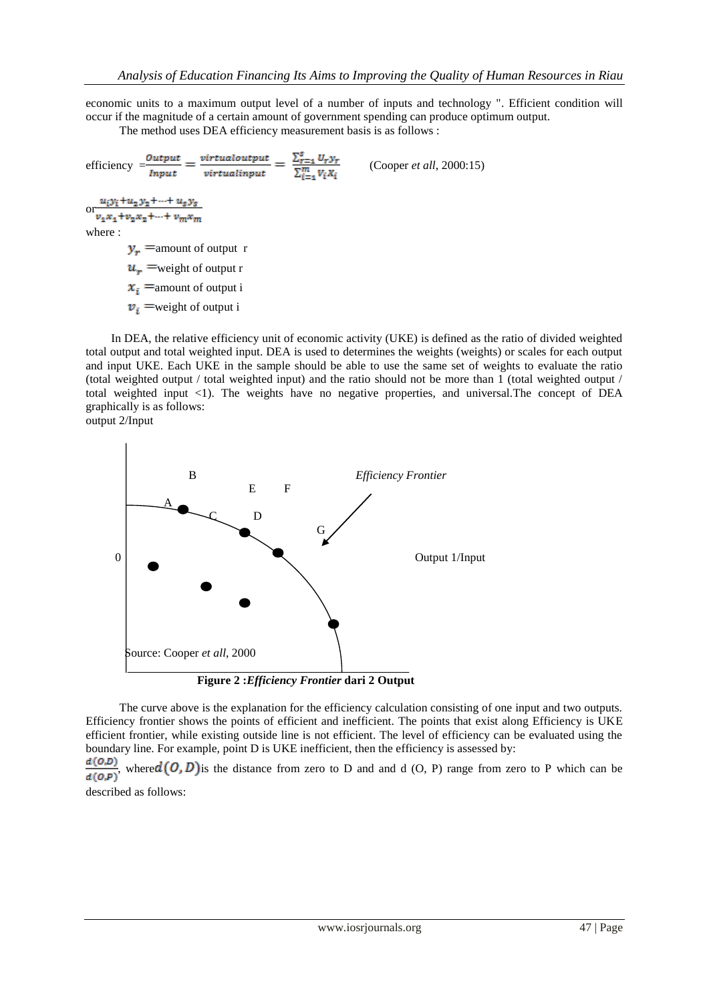economic units to a maximum output level of a number of inputs and technology ". Efficient condition will occur if the magnitude of a certain amount of government spending can produce optimum output.

The method uses DEA efficiency measurement basis is as follows :

```
efficiency \frac{Output}{Input} = \frac{virtualoutput}{virtualinput} = \frac{\sum_{r=1}^{s} U_r y_r}{\sum_{i=1}^{m} V_i X_i} (Cooper et all, 2000:15)
```
 $u_i y_i + u_2 y_2 + \cdots + u_s y_s$ or  $v_1x_1+v_2x_2+...+v_mx_m$ 

where :

 $y_r$  = amount of output r  $u_r$  =weight of output r

 $x_i$  = amount of output i

 $v_i$  = weight of output i

In DEA, the relative efficiency unit of economic activity (UKE) is defined as the ratio of divided weighted total output and total weighted input. DEA is used to determines the weights (weights) or scales for each output and input UKE. Each UKE in the sample should be able to use the same set of weights to evaluate the ratio (total weighted output / total weighted input) and the ratio should not be more than 1 (total weighted output / total weighted input <1). The weights have no negative properties, and universal.The concept of DEA graphically is as follows:

output 2/Input



The curve above is the explanation for the efficiency calculation consisting of one input and two outputs. Efficiency frontier shows the points of efficient and inefficient. The points that exist along Efficiency is UKE efficient frontier, while existing outside line is not efficient. The level of efficiency can be evaluated using the boundary line. For example, point D is UKE inefficient, then the efficiency is assessed by:<br> $d(0,D)$ 

 $\frac{\alpha(O,\mathcal{D})}{d(O,\mathcal{P})}$ , where  $d(O,D)$  is the distance from zero to D and and d (O, P) range from zero to P which can be

described as follows: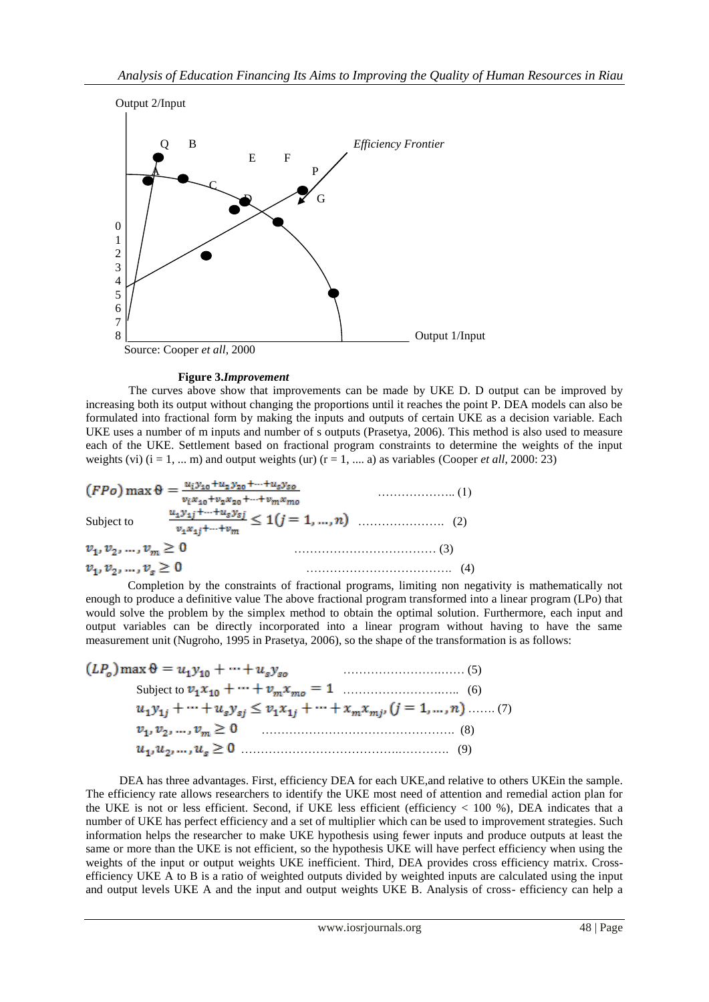

#### **Figure 3.***Improvement*

The curves above show that improvements can be made by UKE D. D output can be improved by increasing both its output without changing the proportions until it reaches the point P. DEA models can also be formulated into fractional form by making the inputs and outputs of certain UKE as a decision variable. Each UKE uses a number of m inputs and number of s outputs (Prasetya, 2006). This method is also used to measure each of the UKE. Settlement based on fractional program constraints to determine the weights of the input weights (vi)  $(i = 1, ... m)$  and output weights (ur)  $(r = 1, ... a)$  as variables (Cooper *et all*, 2000: 23)

$$
(FPo) \max \theta = \frac{u_i y_{10} + u_2 y_{20} + \dots + u_s y_{s0}}{v_i x_{10} + v_2 x_{20} + \dots + v_m x_{m0}} \tag{1}
$$
  
Subject to  

$$
\frac{u_1 y_{11} + \dots + u_s y_{s1}}{v_1 x_{11} + \dots + v_m} \le 1 (j = 1, ..., n) \quad \dots \quad (2)
$$
  

$$
v_1, v_2, \dots, v_m \ge 0 \qquad \dots \qquad (3)
$$
  

$$
v_1, v_2, \dots, v_s \ge 0 \qquad \dots \qquad (4)
$$

Completion by the constraints of fractional programs, limiting non negativity is mathematically not enough to produce a definitive value The above fractional program transformed into a linear program (LPo) that would solve the problem by the simplex method to obtain the optimal solution. Furthermore, each input and output variables can be directly incorporated into a linear program without having to have the same measurement unit (Nugroho, 1995 in Prasetya, 2006), so the shape of the transformation is as follows:

$$
(LPo) \max \theta = u_1 y_{10} + \dots + u_s y_{so}
$$
\n(5)  
\nSubject to  $v_1 x_{10} + \dots + v_m x_{mo} = 1$  (6)  
\n $u_1 y_{1j} + \dots + u_s y_{sj} \le v_1 x_{1j} + \dots + x_m x_{mj}, (j = 1, \dots, n) \dots \dots (7)$   
\n $v_1, v_2, \dots, v_m \ge 0$  (8)  
\n $u_1, u_2, \dots, u_s \ge 0$  (9)

DEA has three advantages. First, efficiency DEA for each UKE,and relative to others UKEin the sample. The efficiency rate allows researchers to identify the UKE most need of attention and remedial action plan for the UKE is not or less efficient. Second, if UKE less efficient (efficiency  $< 100$  %), DEA indicates that a number of UKE has perfect efficiency and a set of multiplier which can be used to improvement strategies. Such information helps the researcher to make UKE hypothesis using fewer inputs and produce outputs at least the same or more than the UKE is not efficient, so the hypothesis UKE will have perfect efficiency when using the weights of the input or output weights UKE inefficient. Third, DEA provides cross efficiency matrix. Crossefficiency UKE A to B is a ratio of weighted outputs divided by weighted inputs are calculated using the input and output levels UKE A and the input and output weights UKE B. Analysis of cross- efficiency can help a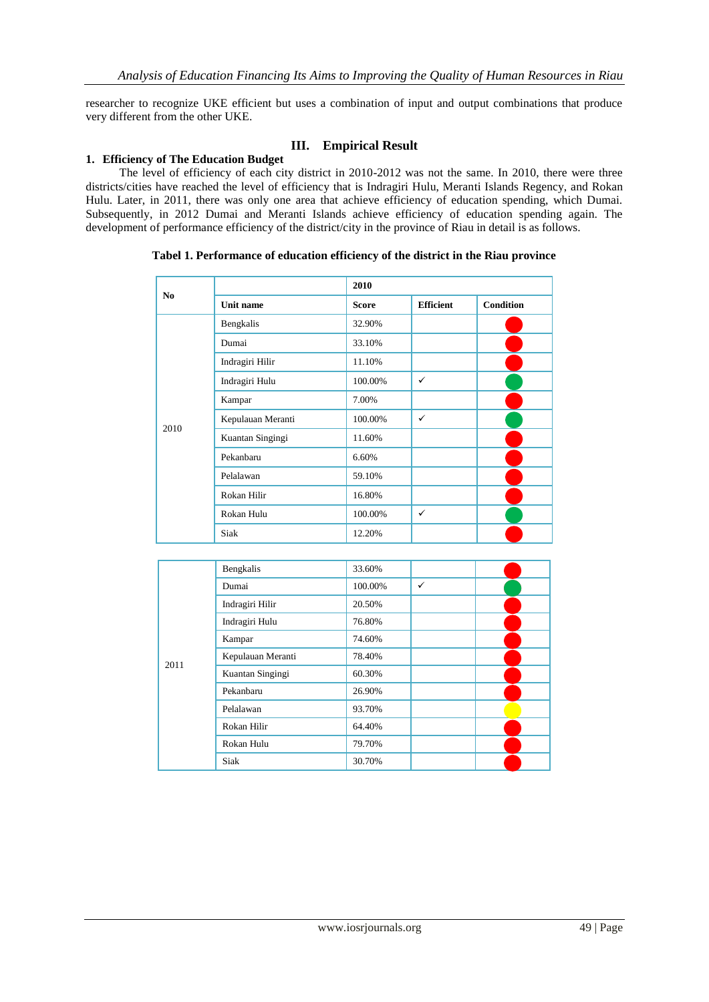researcher to recognize UKE efficient but uses a combination of input and output combinations that produce very different from the other UKE.

### **III. Empirical Result**

### **1. Efficiency of The Education Budget**

The level of efficiency of each city district in 2010-2012 was not the same. In 2010, there were three districts/cities have reached the level of efficiency that is Indragiri Hulu, Meranti Islands Regency, and Rokan Hulu. Later, in 2011, there was only one area that achieve efficiency of education spending, which Dumai. Subsequently, in 2012 Dumai and Meranti Islands achieve efficiency of education spending again. The development of performance efficiency of the district/city in the province of Riau in detail is as follows.

| N <sub>0</sub> |                        | 2010         |                  |                  |
|----------------|------------------------|--------------|------------------|------------------|
|                | <b>Unit name</b>       | <b>Score</b> | <b>Efficient</b> | <b>Condition</b> |
| 2010           | Bengkalis              | 32.90%       |                  |                  |
|                | Dumai                  | 33.10%       |                  |                  |
|                | Indragiri Hilir        | 11.10%       |                  |                  |
|                | Indragiri Hulu         | 100.00%      | $\checkmark$     |                  |
|                | Kampar                 | 7.00%        |                  |                  |
|                | Kepulauan Meranti      | 100.00%      | $\checkmark$     |                  |
|                | Kuantan Singingi       | 11.60%       |                  |                  |
|                | Pekanbaru              | 6.60%        |                  |                  |
|                | Pelalawan              | 59.10%       |                  |                  |
|                | Rokan Hilir            | 16.80%       |                  |                  |
|                | Rokan Hulu             | 100.00%      | $\checkmark$     |                  |
|                | Siak                   | 12.20%       |                  |                  |
|                |                        |              |                  |                  |
|                | Bengkalis              | 33.60%       |                  |                  |
|                | Dumai                  | 100.00%      | $\checkmark$     |                  |
|                | The discount of TTHEIR | 20.500       |                  |                  |

**Tabel 1. Performance of education efficiency of the district in the Riau province**

| 2011 | Bengkalis         | 33.60%  |   |
|------|-------------------|---------|---|
|      | Dumai             | 100.00% | ✓ |
|      | Indragiri Hilir   | 20.50%  |   |
|      | Indragiri Hulu    | 76.80%  |   |
|      | Kampar            | 74.60%  |   |
|      | Kepulauan Meranti | 78.40%  |   |
|      | Kuantan Singingi  | 60.30%  |   |
|      | Pekanbaru         | 26.90%  |   |
|      | Pelalawan         | 93.70%  |   |
|      | Rokan Hilir       | 64.40%  |   |
|      | Rokan Hulu        | 79.70%  |   |
|      | Siak              | 30.70%  |   |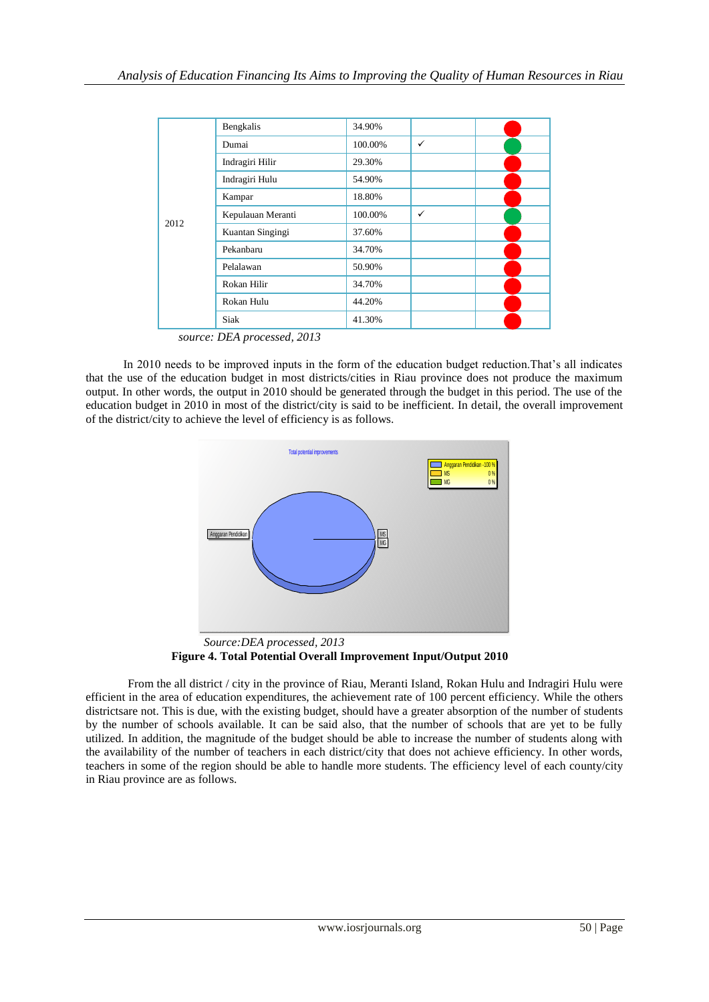| 2012 | Bengkalis         | 34.90%  |              |
|------|-------------------|---------|--------------|
|      | Dumai             | 100.00% | ✓            |
|      | Indragiri Hilir   | 29.30%  |              |
|      | Indragiri Hulu    | 54.90%  |              |
|      | Kampar            | 18.80%  |              |
|      | Kepulauan Meranti | 100.00% | $\checkmark$ |
|      | Kuantan Singingi  | 37.60%  |              |
|      | Pekanbaru         | 34.70%  |              |
|      | Pelalawan         | 50.90%  |              |
|      | Rokan Hilir       | 34.70%  |              |
|      | Rokan Hulu        | 44.20%  |              |
|      | Siak              | 41.30%  |              |

*source: DEA processed, 2013*

In 2010 needs to be improved inputs in the form of the education budget reduction.That's all indicates that the use of the education budget in most districts/cities in Riau province does not produce the maximum output. In other words, the output in 2010 should be generated through the budget in this period. The use of the education budget in 2010 in most of the district/city is said to be inefficient. In detail, the overall improvement of the district/city to achieve the level of efficiency is as follows.



*Source:DEA processed, 2013* **Figure 4. Total Potential Overall Improvement Input/Output 2010**

From the all district / city in the province of Riau, Meranti Island, Rokan Hulu and Indragiri Hulu were efficient in the area of education expenditures, the achievement rate of 100 percent efficiency. While the others districtsare not. This is due, with the existing budget, should have a greater absorption of the number of students by the number of schools available. It can be said also, that the number of schools that are yet to be fully utilized. In addition, the magnitude of the budget should be able to increase the number of students along with the availability of the number of teachers in each district/city that does not achieve efficiency. In other words, teachers in some of the region should be able to handle more students. The efficiency level of each county/city in Riau province are as follows.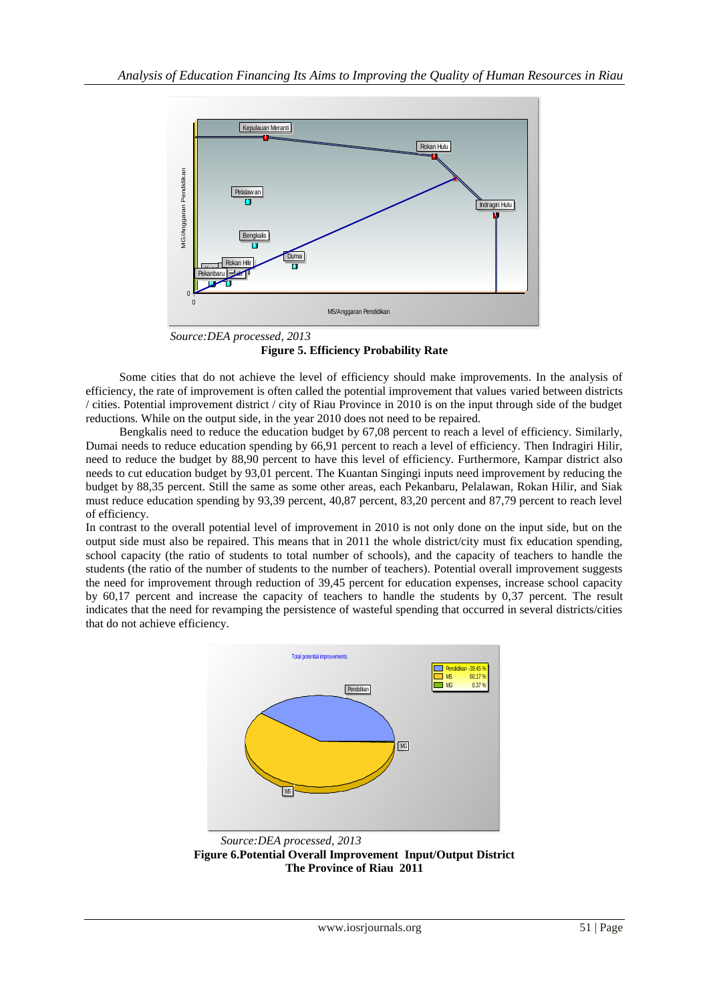

*Source:DEA processed, 2013* **Figure 5. Efficiency Probability Rate**

Some cities that do not achieve the level of efficiency should make improvements. In the analysis of efficiency, the rate of improvement is often called the potential improvement that values varied between districts / cities. Potential improvement district / city of Riau Province in 2010 is on the input through side of the budget reductions. While on the output side, in the year 2010 does not need to be repaired.

Bengkalis need to reduce the education budget by 67,08 percent to reach a level of efficiency. Similarly, Dumai needs to reduce education spending by 66,91 percent to reach a level of efficiency. Then Indragiri Hilir, need to reduce the budget by 88,90 percent to have this level of efficiency. Furthermore, Kampar district also needs to cut education budget by 93,01 percent. The Kuantan Singingi inputs need improvement by reducing the budget by 88,35 percent. Still the same as some other areas, each Pekanbaru, Pelalawan, Rokan Hilir, and Siak must reduce education spending by 93,39 percent, 40,87 percent, 83,20 percent and 87,79 percent to reach level of efficiency.

In contrast to the overall potential level of improvement in 2010 is not only done on the input side, but on the output side must also be repaired. This means that in 2011 the whole district/city must fix education spending, school capacity (the ratio of students to total number of schools), and the capacity of teachers to handle the students (the ratio of the number of students to the number of teachers). Potential overall improvement suggests the need for improvement through reduction of 39,45 percent for education expenses, increase school capacity by 60,17 percent and increase the capacity of teachers to handle the students by 0,37 percent. The result indicates that the need for revamping the persistence of wasteful spending that occurred in several districts/cities that do not achieve efficiency.



*Source:DEA processed, 2013* **Figure 6.Potential Overall Improvement Input/Output District The Province of Riau 2011**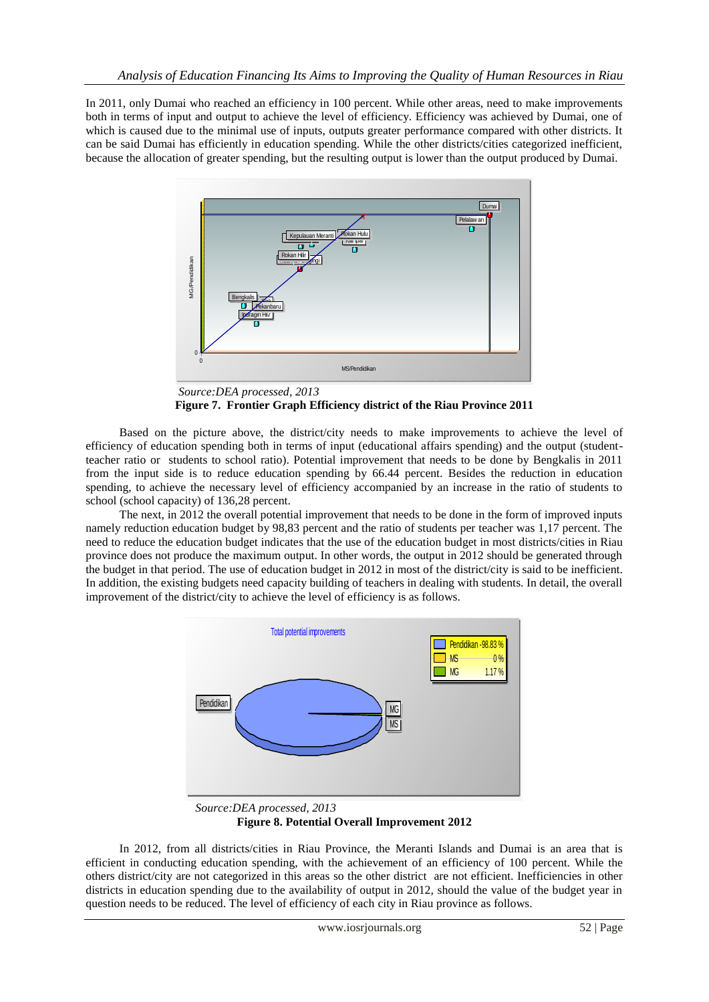In 2011, only Dumai who reached an efficiency in 100 percent. While other areas, need to make improvements both in terms of input and output to achieve the level of efficiency. Efficiency was achieved by Dumai, one of which is caused due to the minimal use of inputs, outputs greater performance compared with other districts. It can be said Dumai has efficiently in education spending. While the other districts/cities categorized inefficient, because the allocation of greater spending, but the resulting output is lower than the output produced by Dumai.



*Source:DEA processed, 2013* **Figure 7. Frontier Graph Efficiency district of the Riau Province 2011**

Based on the picture above, the district/city needs to make improvements to achieve the level of efficiency of education spending both in terms of input (educational affairs spending) and the output (studentteacher ratio or students to school ratio). Potential improvement that needs to be done by Bengkalis in 2011 from the input side is to reduce education spending by 66.44 percent. Besides the reduction in education spending, to achieve the necessary level of efficiency accompanied by an increase in the ratio of students to school (school capacity) of 136,28 percent.

The next, in 2012 the overall potential improvement that needs to be done in the form of improved inputs namely reduction education budget by 98,83 percent and the ratio of students per teacher was 1,17 percent. The need to reduce the education budget indicates that the use of the education budget in most districts/cities in Riau province does not produce the maximum output. In other words, the output in 2012 should be generated through the budget in that period. The use of education budget in 2012 in most of the district/city is said to be inefficient. In addition, the existing budgets need capacity building of teachers in dealing with students. In detail, the overall improvement of the district/city to achieve the level of efficiency is as follows.



*Source:DEA processed, 2013* **Figure 8. Potential Overall Improvement 2012**

In 2012, from all districts/cities in Riau Province, the Meranti Islands and Dumai is an area that is efficient in conducting education spending, with the achievement of an efficiency of 100 percent. While the others district/city are not categorized in this areas so the other district are not efficient. Inefficiencies in other districts in education spending due to the availability of output in 2012, should the value of the budget year in question needs to be reduced. The level of efficiency of each city in Riau province as follows.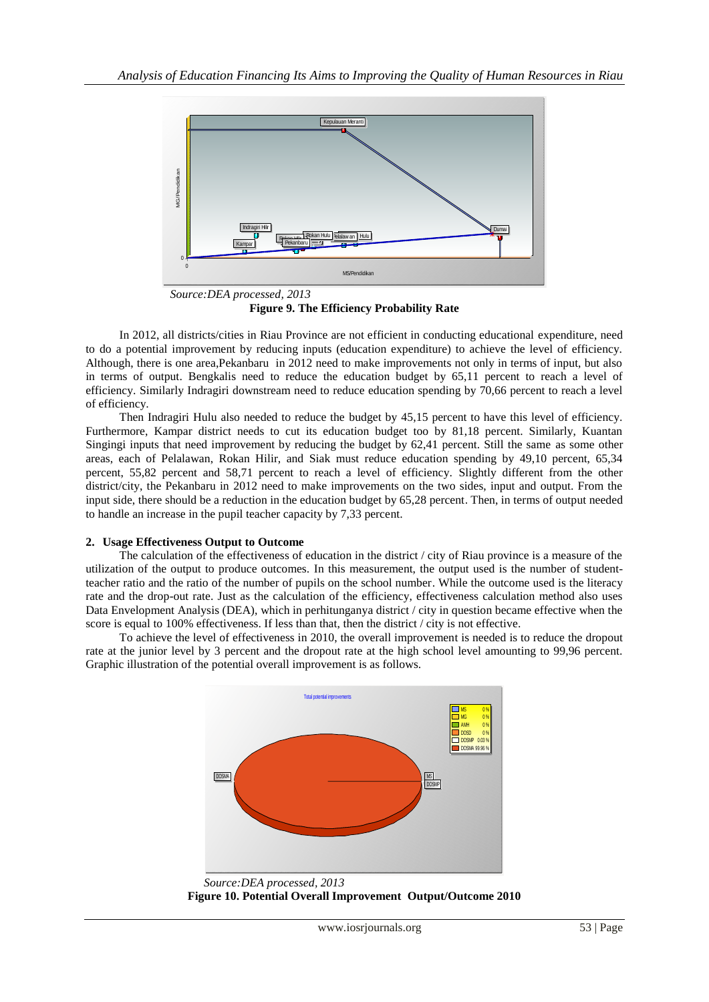

**Figure 9. The Efficiency Probability Rate**

In 2012, all districts/cities in Riau Province are not efficient in conducting educational expenditure, need to do a potential improvement by reducing inputs (education expenditure) to achieve the level of efficiency. Although, there is one area,Pekanbaru in 2012 need to make improvements not only in terms of input, but also in terms of output. Bengkalis need to reduce the education budget by 65,11 percent to reach a level of efficiency. Similarly Indragiri downstream need to reduce education spending by 70,66 percent to reach a level of efficiency.

Then Indragiri Hulu also needed to reduce the budget by 45,15 percent to have this level of efficiency. Furthermore, Kampar district needs to cut its education budget too by 81,18 percent. Similarly, Kuantan Singingi inputs that need improvement by reducing the budget by 62,41 percent. Still the same as some other areas, each of Pelalawan, Rokan Hilir, and Siak must reduce education spending by 49,10 percent, 65,34 percent, 55,82 percent and 58,71 percent to reach a level of efficiency. Slightly different from the other district/city, the Pekanbaru in 2012 need to make improvements on the two sides, input and output. From the input side, there should be a reduction in the education budget by 65,28 percent. Then, in terms of output needed to handle an increase in the pupil teacher capacity by 7,33 percent.

# **2. Usage Effectiveness Output to Outcome**

The calculation of the effectiveness of education in the district / city of Riau province is a measure of the utilization of the output to produce outcomes. In this measurement, the output used is the number of studentteacher ratio and the ratio of the number of pupils on the school number. While the outcome used is the literacy rate and the drop-out rate. Just as the calculation of the efficiency, effectiveness calculation method also uses Data Envelopment Analysis (DEA), which in perhitunganya district / city in question became effective when the score is equal to 100% effectiveness. If less than that, then the district / city is not effective.

To achieve the level of effectiveness in 2010, the overall improvement is needed is to reduce the dropout rate at the junior level by 3 percent and the dropout rate at the high school level amounting to 99,96 percent. Graphic illustration of the potential overall improvement is as follows.



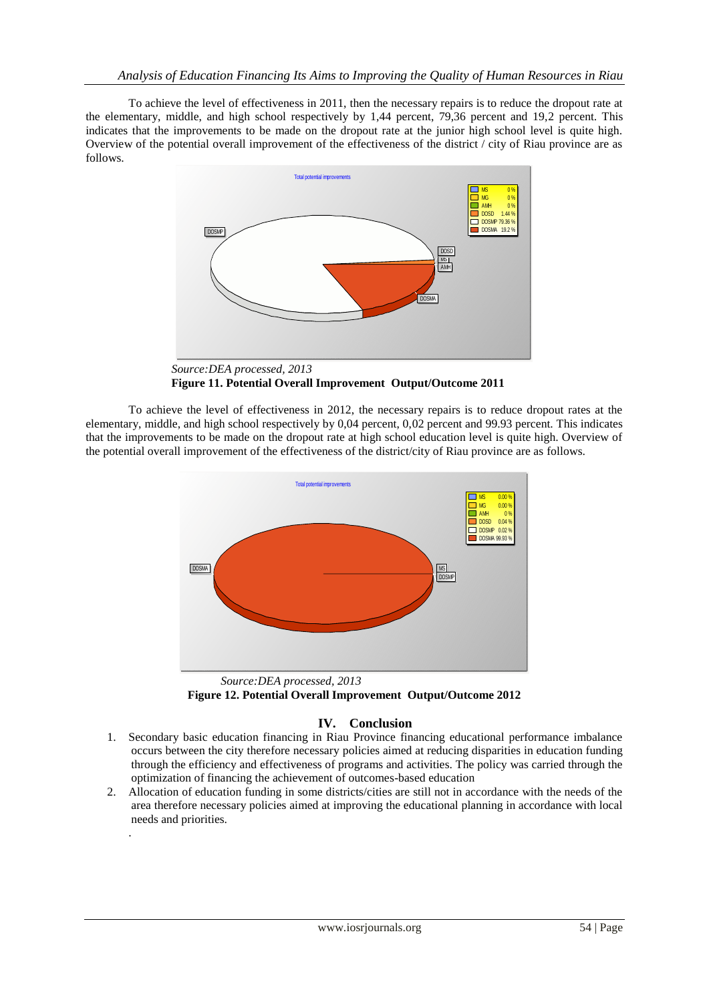To achieve the level of effectiveness in 2011, then the necessary repairs is to reduce the dropout rate at the elementary, middle, and high school respectively by 1,44 percent, 79,36 percent and 19,2 percent. This indicates that the improvements to be made on the dropout rate at the junior high school level is quite high. Overview of the potential overall improvement of the effectiveness of the district / city of Riau province are as follows.



*Source:DEA processed, 2013* **Figure 11. Potential Overall Improvement Output/Outcome 2011**

To achieve the level of effectiveness in 2012, the necessary repairs is to reduce dropout rates at the elementary, middle, and high school respectively by 0,04 percent, 0,02 percent and 99.93 percent. This indicates that the improvements to be made on the dropout rate at high school education level is quite high. Overview of the potential overall improvement of the effectiveness of the district/city of Riau province are as follows.



**Figure 12. Potential Overall Improvement Output/Outcome 2012**

# **IV. Conclusion**

- 1. Secondary basic education financing in Riau Province financing educational performance imbalance occurs between the city therefore necessary policies aimed at reducing disparities in education funding through the efficiency and effectiveness of programs and activities. The policy was carried through the optimization of financing the achievement of outcomes-based education
- 2. Allocation of education funding in some districts/cities are still not in accordance with the needs of the area therefore necessary policies aimed at improving the educational planning in accordance with local needs and priorities.

.